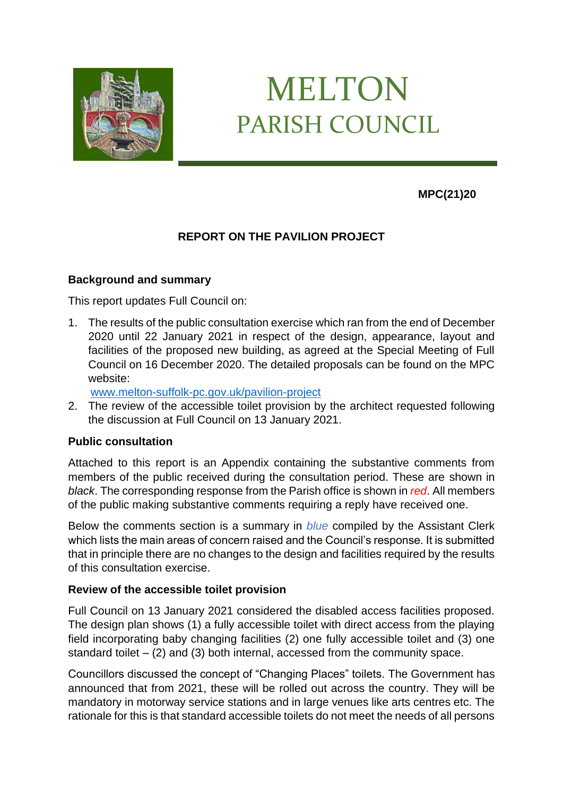

# MELTON PARISH COUNCIL

**MPC(21)20**

# **REPORT ON THE PAVILION PROJECT**

# **Background and summary**

This report updates Full Council on:

1. The results of the public consultation exercise which ran from the end of December 2020 until 22 January 2021 in respect of the design, appearance, layout and facilities of the proposed new building, as agreed at the Special Meeting of Full Council on 16 December 2020. The detailed proposals can be found on the MPC website:

[www.melton-suffolk-pc.gov.uk/pavilion-project](http://www.melton-suffolk-pc.gov.uk/pavilion-project)

2. The review of the accessible toilet provision by the architect requested following the discussion at Full Council on 13 January 2021.

# **Public consultation**

Attached to this report is an Appendix containing the substantive comments from members of the public received during the consultation period. These are shown in *black*. The corresponding response from the Parish office is shown in *red*. All members of the public making substantive comments requiring a reply have received one.

Below the comments section is a summary in *blue* compiled by the Assistant Clerk which lists the main areas of concern raised and the Council's response. It is submitted that in principle there are no changes to the design and facilities required by the results of this consultation exercise.

# **Review of the accessible toilet provision**

Full Council on 13 January 2021 considered the disabled access facilities proposed. The design plan shows (1) a fully accessible toilet with direct access from the playing field incorporating baby changing facilities (2) one fully accessible toilet and (3) one standard toilet – (2) and (3) both internal, accessed from the community space.

Councillors discussed the concept of "Changing Places" toilets. The Government has announced that from 2021, these will be rolled out across the country. They will be mandatory in motorway service stations and in large venues like arts centres etc. The rationale for this is that standard accessible toilets do not meet the needs of all persons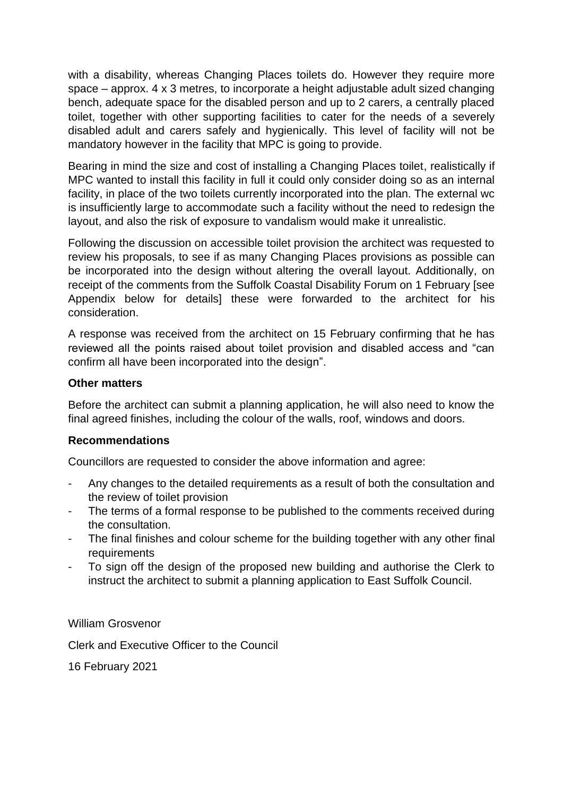with a disability, whereas Changing Places toilets do. However they require more space – approx. 4 x 3 metres, to incorporate a height adjustable adult sized changing bench, adequate space for the disabled person and up to 2 carers, a centrally placed toilet, together with other supporting facilities to cater for the needs of a severely disabled adult and carers safely and hygienically. This level of facility will not be mandatory however in the facility that MPC is going to provide.

Bearing in mind the size and cost of installing a Changing Places toilet, realistically if MPC wanted to install this facility in full it could only consider doing so as an internal facility, in place of the two toilets currently incorporated into the plan. The external wc is insufficiently large to accommodate such a facility without the need to redesign the layout, and also the risk of exposure to vandalism would make it unrealistic.

Following the discussion on accessible toilet provision the architect was requested to review his proposals, to see if as many Changing Places provisions as possible can be incorporated into the design without altering the overall layout. Additionally, on receipt of the comments from the Suffolk Coastal Disability Forum on 1 February [see Appendix below for details] these were forwarded to the architect for his consideration.

A response was received from the architect on 15 February confirming that he has reviewed all the points raised about toilet provision and disabled access and "can confirm all have been incorporated into the design".

# **Other matters**

Before the architect can submit a planning application, he will also need to know the final agreed finishes, including the colour of the walls, roof, windows and doors.

# **Recommendations**

Councillors are requested to consider the above information and agree:

- Any changes to the detailed requirements as a result of both the consultation and the review of toilet provision
- The terms of a formal response to be published to the comments received during the consultation.
- The final finishes and colour scheme for the building together with any other final requirements
- To sign off the design of the proposed new building and authorise the Clerk to instruct the architect to submit a planning application to East Suffolk Council.

William Grosvenor

Clerk and Executive Officer to the Council

16 February 2021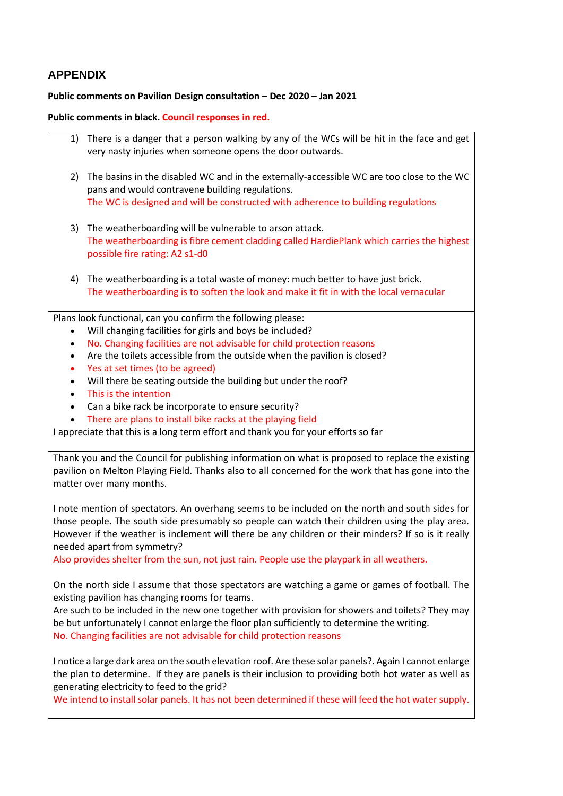# **APPENDIX**

#### **Public comments on Pavilion Design consultation – Dec 2020 – Jan 2021**

**Public comments in black. Council responses in red.**

- 1) There is a danger that a person walking by any of the WCs will be hit in the face and get very nasty injuries when someone opens the door outwards.
- 2) The basins in the disabled WC and in the externally-accessible WC are too close to the WC pans and would contravene building regulations. The WC is designed and will be constructed with adherence to building regulations
- 3) The weatherboarding will be vulnerable to arson attack. The weatherboarding is fibre cement cladding called HardiePlank which carries the highest possible fire rating: A2 s1-d0
- 4) The weatherboarding is a total waste of money: much better to have just brick. The weatherboarding is to soften the look and make it fit in with the local vernacular

Plans look functional, can you confirm the following please:

- Will changing facilities for girls and boys be included?
- No. Changing facilities are not advisable for child protection reasons
- Are the toilets accessible from the outside when the pavilion is closed?
- Yes at set times (to be agreed)
- Will there be seating outside the building but under the roof?
- This is the intention
- Can a bike rack be incorporate to ensure security?
- There are plans to install bike racks at the playing field

I appreciate that this is a long term effort and thank you for your efforts so far

Thank you and the Council for publishing information on what is proposed to replace the existing pavilion on Melton Playing Field. Thanks also to all concerned for the work that has gone into the matter over many months.

I note mention of spectators. An overhang seems to be included on the north and south sides for those people. The south side presumably so people can watch their children using the play area. However if the weather is inclement will there be any children or their minders? If so is it really needed apart from symmetry?

Also provides shelter from the sun, not just rain. People use the playpark in all weathers.

On the north side I assume that those spectators are watching a game or games of football. The existing pavilion has changing rooms for teams.

Are such to be included in the new one together with provision for showers and toilets? They may be but unfortunately I cannot enlarge the floor plan sufficiently to determine the writing. No. Changing facilities are not advisable for child protection reasons

I notice a large dark area on the south elevation roof. Are these solar panels?. Again I cannot enlarge the plan to determine. If they are panels is their inclusion to providing both hot water as well as generating electricity to feed to the grid?

We intend to install solar panels. It has not been determined if these will feed the hot water supply.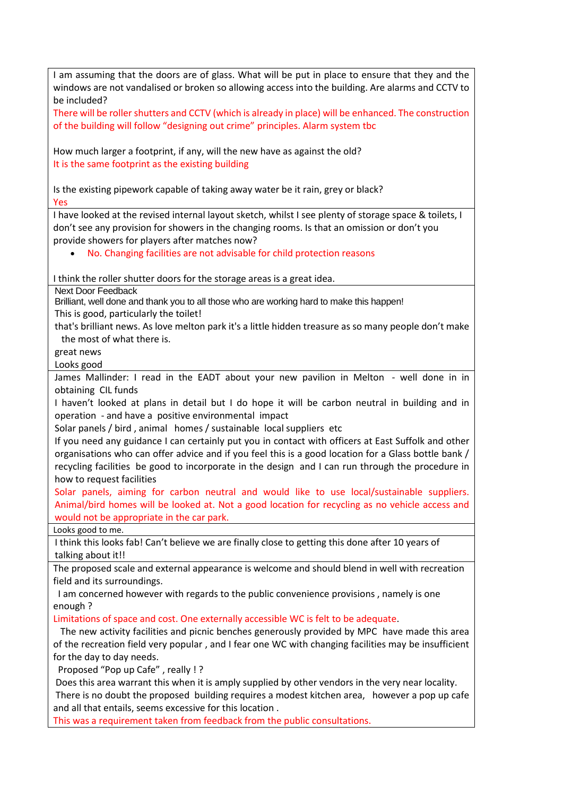I am assuming that the doors are of glass. What will be put in place to ensure that they and the windows are not vandalised or broken so allowing access into the building. Are alarms and CCTV to be included? There will be roller shutters and CCTV (which is already in place) will be enhanced. The construction of the building will follow "designing out crime" principles. Alarm system tbc How much larger a footprint, if any, will the new have as against the old? It is the same footprint as the existing building Is the existing pipework capable of taking away water be it rain, grey or black? Yes I have looked at the revised internal layout sketch, whilst I see plenty of storage space & toilets, I don't see any provision for showers in the changing rooms. Is that an omission or don't you provide showers for players after matches now? • No. Changing facilities are not advisable for child protection reasons I think the roller shutter doors for the storage areas is a great idea. Next Door Feedback Brilliant, well done and thank you to all those who are working hard to make this happen! This is good, particularly the toilet! that's brilliant news. As love melton park it's a little hidden treasure as so many people don't make the most of what there is. great news Looks good James Mallinder: I read in the EADT about your new pavilion in Melton - well done in in obtaining CIL funds I haven't looked at plans in detail but I do hope it will be carbon neutral in building and in operation - and have a positive environmental impact Solar panels / bird , animal homes / sustainable local suppliers etc If you need any guidance I can certainly put you in contact with officers at East Suffolk and other organisations who can offer advice and if you feel this is a good location for a Glass bottle bank / recycling facilities be good to incorporate in the design and I can run through the procedure in how to request facilities Solar panels, aiming for carbon neutral and would like to use local/sustainable suppliers. Animal/bird homes will be looked at. Not a good location for recycling as no vehicle access and would not be appropriate in the car park. Looks good to me. I think this looks fab! Can't believe we are finally close to getting this done after 10 years of talking about it!! The proposed scale and external appearance is welcome and should blend in well with recreation field and its surroundings. I am concerned however with regards to the public convenience provisions , namely is one enough ? Limitations of space and cost. One externally accessible WC is felt to be adequate. The new activity facilities and picnic benches generously provided by MPC have made this area of the recreation field very popular , and I fear one WC with changing facilities may be insufficient for the day to day needs. Proposed "Pop up Cafe" , really ! ? Does this area warrant this when it is amply supplied by other vendors in the very near locality. There is no doubt the proposed building requires a modest kitchen area, however a pop up cafe and all that entails, seems excessive for this location . This was a requirement taken from feedback from the public consultations.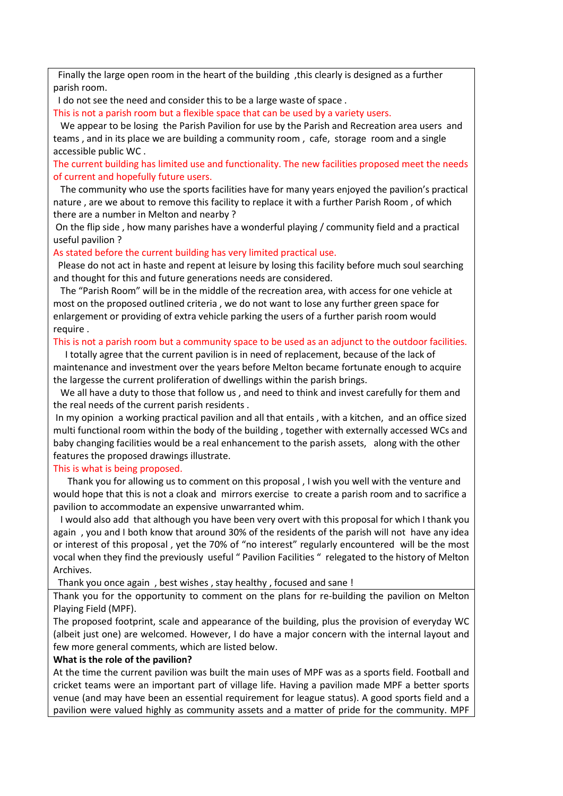Finally the large open room in the heart of the building ,this clearly is designed as a further parish room.

I do not see the need and consider this to be a large waste of space .

This is not a parish room but a flexible space that can be used by a variety users.

 We appear to be losing the Parish Pavilion for use by the Parish and Recreation area users and teams , and in its place we are building a community room , cafe, storage room and a single accessible public WC .

The current building has limited use and functionality. The new facilities proposed meet the needs of current and hopefully future users.

 The community who use the sports facilities have for many years enjoyed the pavilion's practical nature , are we about to remove this facility to replace it with a further Parish Room , of which there are a number in Melton and nearby ?

On the flip side , how many parishes have a wonderful playing / community field and a practical useful pavilion ?

As stated before the current building has very limited practical use.

 Please do not act in haste and repent at leisure by losing this facility before much soul searching and thought for this and future generations needs are considered.

 The "Parish Room" will be in the middle of the recreation area, with access for one vehicle at most on the proposed outlined criteria , we do not want to lose any further green space for enlargement or providing of extra vehicle parking the users of a further parish room would require .

#### This is not a parish room but a community space to be used as an adjunct to the outdoor facilities.

 I totally agree that the current pavilion is in need of replacement, because of the lack of maintenance and investment over the years before Melton became fortunate enough to acquire the largesse the current proliferation of dwellings within the parish brings.

 We all have a duty to those that follow us , and need to think and invest carefully for them and the real needs of the current parish residents .

In my opinion a working practical pavilion and all that entails , with a kitchen, and an office sized multi functional room within the body of the building , together with externally accessed WCs and baby changing facilities would be a real enhancement to the parish assets, along with the other features the proposed drawings illustrate.

#### This is what is being proposed.

 Thank you for allowing us to comment on this proposal , I wish you well with the venture and would hope that this is not a cloak and mirrors exercise to create a parish room and to sacrifice a pavilion to accommodate an expensive unwarranted whim.

 I would also add that although you have been very overt with this proposal for which I thank you again , you and I both know that around 30% of the residents of the parish will not have any idea or interest of this proposal , yet the 70% of "no interest" regularly encountered will be the most vocal when they find the previously useful " Pavilion Facilities " relegated to the history of Melton Archives.

Thank you once again , best wishes , stay healthy , focused and sane !

Thank you for the opportunity to comment on the plans for re-building the pavilion on Melton Playing Field (MPF).

The proposed footprint, scale and appearance of the building, plus the provision of everyday WC (albeit just one) are welcomed. However, I do have a major concern with the internal layout and few more general comments, which are listed below.

#### **What is the role of the pavilion?**

At the time the current pavilion was built the main uses of MPF was as a sports field. Football and cricket teams were an important part of village life. Having a pavilion made MPF a better sports venue (and may have been an essential requirement for league status). A good sports field and a pavilion were valued highly as community assets and a matter of pride for the community. MPF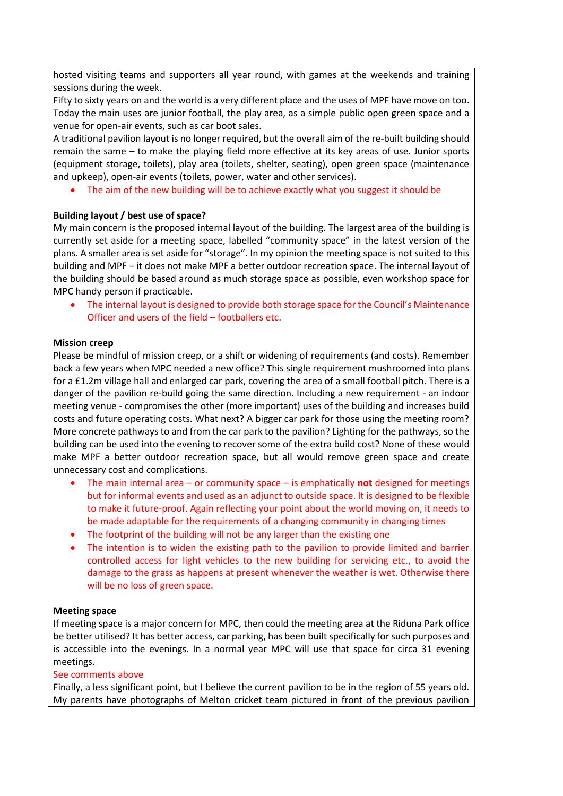hosted visiting teams and supporters all year round, with games at the weekends and training sessions during the week.

Fifty to sixty years on and the world is a very different place and the uses of MPF have move on too. Today the main uses are junior football, the play area, as a simple public open green space and a venue for open-air events, such as car boot sales.

A traditional pavilion layout is no longer required, but the overall aim of the re-built building should remain the same – to make the playing field more effective at its key areas of use. Junior sports (equipment storage, toilets), play area (toilets, shelter, seating), open green space (maintenance and upkeep), open-air events (toilets, power, water and other services).

The aim of the new building will be to achieve exactly what you suggest it should be

## **Building layout / best use of space?**

My main concern is the proposed internal layout of the building. The largest area of the building is currently set aside for a meeting space, labelled "community space" in the latest version of the plans. A smaller area is set aside for "storage". In my opinion the meeting space is not suited to this building and MPF – it does not make MPF a better outdoor recreation space. The internal layout of the building should be based around as much storage space as possible, even workshop space for MPC handy person if practicable.

• The internal layout is designed to provide both storage space for the Council's Maintenance Officer and users of the field – footballers etc.

## **Mission creep**

Please be mindful of mission creep, or a shift or widening of requirements (and costs). Remember back a few years when MPC needed a new office? This single requirement mushroomed into plans for a £1.2m village hall and enlarged car park, covering the area of a small football pitch. There is a danger of the pavilion re-build going the same direction. Including a new requirement - an indoor meeting venue - compromises the other (more important) uses of the building and increases build costs and future operating costs. What next? A bigger car park for those using the meeting room? More concrete pathways to and from the car park to the pavilion? Lighting for the pathways, so the building can be used into the evening to recover some of the extra build cost? None of these would make MPF a better outdoor recreation space, but all would remove green space and create unnecessary cost and complications.

- The main internal area or community space is emphatically **not** designed for meetings but for informal events and used as an adjunct to outside space. It is designed to be flexible to make it future-proof. Again reflecting your point about the world moving on, it needs to be made adaptable for the requirements of a changing community in changing times
- The footprint of the building will not be any larger than the existing one
- The intention is to widen the existing path to the pavilion to provide limited and barrier controlled access for light vehicles to the new building for servicing etc., to avoid the damage to the grass as happens at present whenever the weather is wet. Otherwise there will be no loss of green space.

## **Meeting space**

If meeting space is a major concern for MPC, then could the meeting area at the Riduna Park office be better utilised? It has better access, car parking, has been built specifically for such purposes and is accessible into the evenings. In a normal year MPC will use that space for circa 31 evening meetings.

#### See comments above

Finally, a less significant point, but I believe the current pavilion to be in the region of 55 years old. My parents have photographs of Melton cricket team pictured in front of the previous pavilion